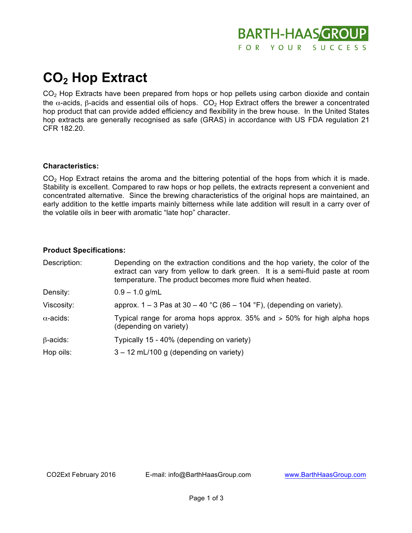

# **CO2 Hop Extract**

CO<sub>2</sub> Hop Extracts have been prepared from hops or hop pellets using carbon dioxide and contain the α-acids, β-acids and essential oils of hops.  $CO<sub>2</sub>$  Hop Extract offers the brewer a concentrated hop product that can provide added efficiency and flexibility in the brew house. In the United States hop extracts are generally recognised as safe (GRAS) in accordance with US FDA regulation 21 CFR 182.20.

### **Characteristics:**

CO2 Hop Extract retains the aroma and the bittering potential of the hops from which it is made. Stability is excellent. Compared to raw hops or hop pellets, the extracts represent a convenient and concentrated alternative. Since the brewing characteristics of the original hops are maintained, an early addition to the kettle imparts mainly bitterness while late addition will result in a carry over of the volatile oils in beer with aromatic "late hop" character.

### **Product Specifications:**

| Description:     | Depending on the extraction conditions and the hop variety, the color of the<br>extract can vary from yellow to dark green. It is a semi-fluid paste at room<br>temperature. The product becomes more fluid when heated. |
|------------------|--------------------------------------------------------------------------------------------------------------------------------------------------------------------------------------------------------------------------|
| Density:         | $0.9 - 1.0$ g/mL                                                                                                                                                                                                         |
| Viscosity:       | approx. $1 - 3$ Pas at $30 - 40$ °C (86 – 104 °F), (depending on variety).                                                                                                                                               |
| $\alpha$ -acids: | Typical range for aroma hops approx. 35% and > 50% for high alpha hops<br>(depending on variety)                                                                                                                         |
| $\beta$ -acids:  | Typically 15 - 40% (depending on variety)                                                                                                                                                                                |
| Hop oils:        | $3 - 12$ mL/100 g (depending on variety)                                                                                                                                                                                 |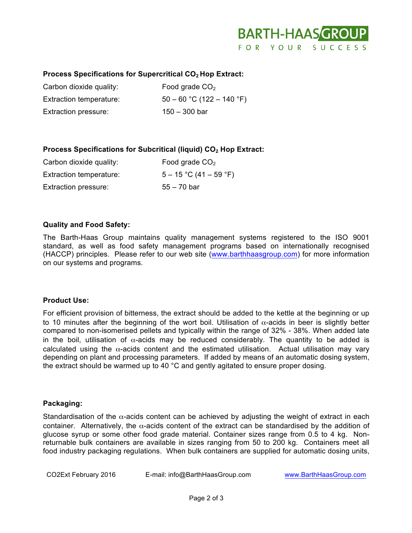

## Process Specifications for Supercritical CO<sub>2</sub> Hop Extract:

| Carbon dioxide quality: | Food grade $CO2$            |
|-------------------------|-----------------------------|
| Extraction temperature: | $50 - 60$ °C (122 – 140 °F) |
| Extraction pressure:    | $150 - 300$ bar             |

## **Process Specifications for Subcritical (liquid) CO<sub>2</sub> Hop Extract:**

| Carbon dioxide quality:     | Food grade $CO2$         |
|-----------------------------|--------------------------|
| Extraction temperature:     | $5 - 15$ °C (41 – 59 °F) |
| <b>Extraction pressure:</b> | $55 - 70$ bar            |

### **Quality and Food Safety:**

The Barth-Haas Group maintains quality management systems registered to the ISO 9001 standard, as well as food safety management programs based on internationally recognised (HACCP) principles. Please refer to our web site (www.barthhaasgroup.com) for more information on our systems and programs.

### **Product Use:**

For efficient provision of bitterness, the extract should be added to the kettle at the beginning or up to 10 minutes after the beginning of the wort boil. Utilisation of  $\alpha$ -acids in beer is slightly better compared to non-isomerised pellets and typically within the range of 32% - 38%. When added late in the boil, utilisation of  $\alpha$ -acids may be reduced considerably. The quantity to be added is calculated using the  $\alpha$ -acids content and the estimated utilisation. Actual utilisation may vary depending on plant and processing parameters. If added by means of an automatic dosing system, the extract should be warmed up to 40 °C and gently agitated to ensure proper dosing.

### **Packaging:**

Standardisation of the  $\alpha$ -acids content can be achieved by adjusting the weight of extract in each container. Alternatively, the  $\alpha$ -acids content of the extract can be standardised by the addition of glucose syrup or some other food grade material. Container sizes range from 0.5 to 4 kg. Nonreturnable bulk containers are available in sizes ranging from 50 to 200 kg. Containers meet all food industry packaging regulations. When bulk containers are supplied for automatic dosing units,

CO2Ext February 2016 E-mail: info@BarthHaasGroup.com www.BarthHaasGroup.com